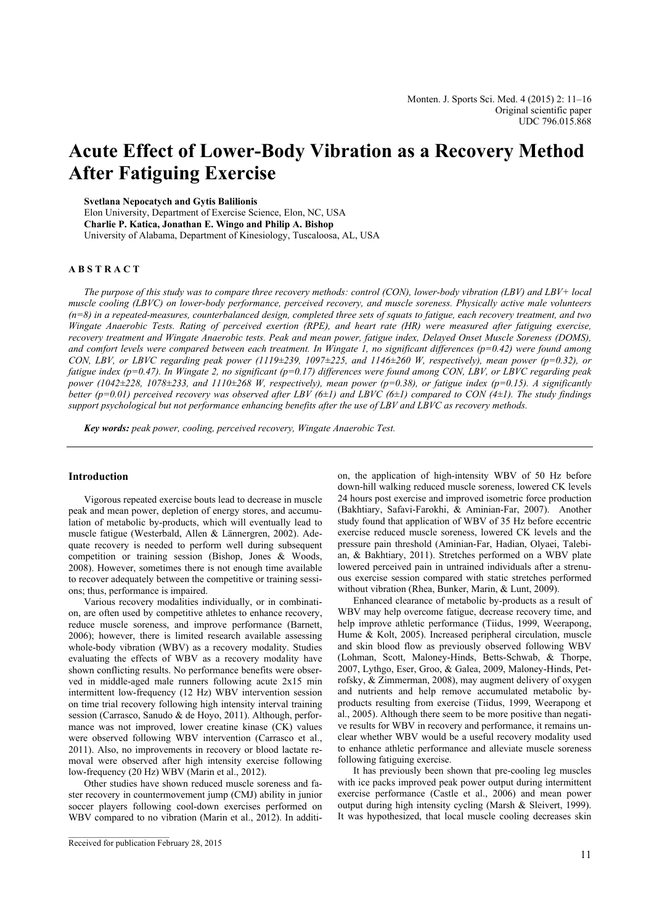# **Acute Effect of Lower-Body Vibration as a Recovery Method After Fatiguing Exercise**

**Svetlana Nepocatych and Gytis Balilionis** 

Elon University, Department of Exercise Science, Elon, NC, USA **Charlie P. Katica, Jonathan E. Wingo and Philip A. Bishop**  University of Alabama, Department of Kinesiology, Tuscaloosa, AL, USA

# **A B S T R A C T**

*The purpose of this study was to compare three recovery methods: control (CON), lower-body vibration (LBV) and LBV+ local muscle cooling (LBVC) on lower-body performance, perceived recovery, and muscle soreness. Physically active male volunteers (n=8) in a repeated-measures, counterbalanced design, completed three sets of squats to fatigue, each recovery treatment, and two Wingate Anaerobic Tests. Rating of perceived exertion (RPE), and heart rate (HR) were measured after fatiguing exercise, recovery treatment and Wingate Anaerobic tests. Peak and mean power, fatigue index, Delayed Onset Muscle Soreness (DOMS), and comfort levels were compared between each treatment. In Wingate 1, no significant differences (p=0.42) were found among CON, LBV, or LBVC regarding peak power (1119* $\pm$ *239, 1097* $\pm$ *225, and 1146* $\pm$ *260 W, respectively), mean power (p=0.32), or fatigue index (p=0.47). In Wingate 2, no significant (p=0.17) differences were found among CON, LBV, or LBVC regarding peak power (1042±228, 1078±233, and 1110±268 W, respectively), mean power (p=0.38), or fatigue index (p=0.15). A significantly better (p=0.01) perceived recovery was observed after LBV (6±1) and LBVC (6±1) compared to CON (4±1). The study findings support psychological but not performance enhancing benefits after the use of LBV and LBVC as recovery methods.* 

*Key words: peak power, cooling, perceived recovery, Wingate Anaerobic Test.* 

## **Introduction**

Vigorous repeated exercise bouts lead to decrease in muscle peak and mean power, depletion of energy stores, and accumulation of metabolic by-products, which will eventually lead to muscle fatigue (Westerbald, Allen & Lännergren, 2002). Adequate recovery is needed to perform well during subsequent competition or training session (Bishop, Jones & Woods, 2008). However, sometimes there is not enough time available to recover adequately between the competitive or training sessions; thus, performance is impaired.

Various recovery modalities individually, or in combination, are often used by competitive athletes to enhance recovery, reduce muscle soreness, and improve performance (Barnett, 2006); however, there is limited research available assessing whole-body vibration (WBV) as a recovery modality. Studies evaluating the effects of WBV as a recovery modality have shown conflicting results. No performance benefits were observed in middle-aged male runners following acute 2x15 min intermittent low-frequency (12 Hz) WBV intervention session on time trial recovery following high intensity interval training session (Carrasco, Sanudo & de Hoyo, 2011). Although, performance was not improved, lower creatine kinase (CK) values were observed following WBV intervention (Carrasco et al., 2011). Also, no improvements in recovery or blood lactate removal were observed after high intensity exercise following low-frequency (20 Hz) WBV (Marin et al., 2012).

Other studies have shown reduced muscle soreness and faster recovery in countermovement jump (CMJ) ability in junior soccer players following cool-down exercises performed on WBV compared to no vibration (Marin et al., 2012). In additi-

\_\_\_\_\_\_\_\_\_\_\_\_\_\_\_\_\_\_\_\_\_\_\_

on, the application of high-intensity WBV of 50 Hz before down-hill walking reduced muscle soreness, lowered CK levels 24 hours post exercise and improved isometric force production (Bakhtiary, Safavi-Farokhi, & Aminian-Far, 2007). Another study found that application of WBV of 35 Hz before eccentric exercise reduced muscle soreness, lowered CK levels and the pressure pain threshold (Aminian-Far, Hadian, Olyaei, Talebian, & Bakhtiary, 2011). Stretches performed on a WBV plate lowered perceived pain in untrained individuals after a strenuous exercise session compared with static stretches performed without vibration (Rhea, Bunker, Marin, & Lunt, 2009).

Enhanced clearance of metabolic by-products as a result of WBV may help overcome fatigue, decrease recovery time, and help improve athletic performance (Tiidus, 1999, Weerapong, Hume & Kolt, 2005). Increased peripheral circulation, muscle and skin blood flow as previously observed following WBV (Lohman, Scott, Maloney-Hinds, Betts-Schwab, & Thorpe, 2007, Lythgo, Eser, Groo, & Galea, 2009, Maloney-Hinds, Petrofsky, & Zimmerman, 2008), may augment delivery of oxygen and nutrients and help remove accumulated metabolic byproducts resulting from exercise (Tiidus, 1999, Weerapong et al., 2005). Although there seem to be more positive than negative results for WBV in recovery and performance, it remains unclear whether WBV would be a useful recovery modality used to enhance athletic performance and alleviate muscle soreness following fatiguing exercise.

It has previously been shown that pre-cooling leg muscles with ice packs improved peak power output during intermittent exercise performance (Castle et al., 2006) and mean power output during high intensity cycling (Marsh & Sleivert, 1999). It was hypothesized, that local muscle cooling decreases skin

Received for publication February 28, 2015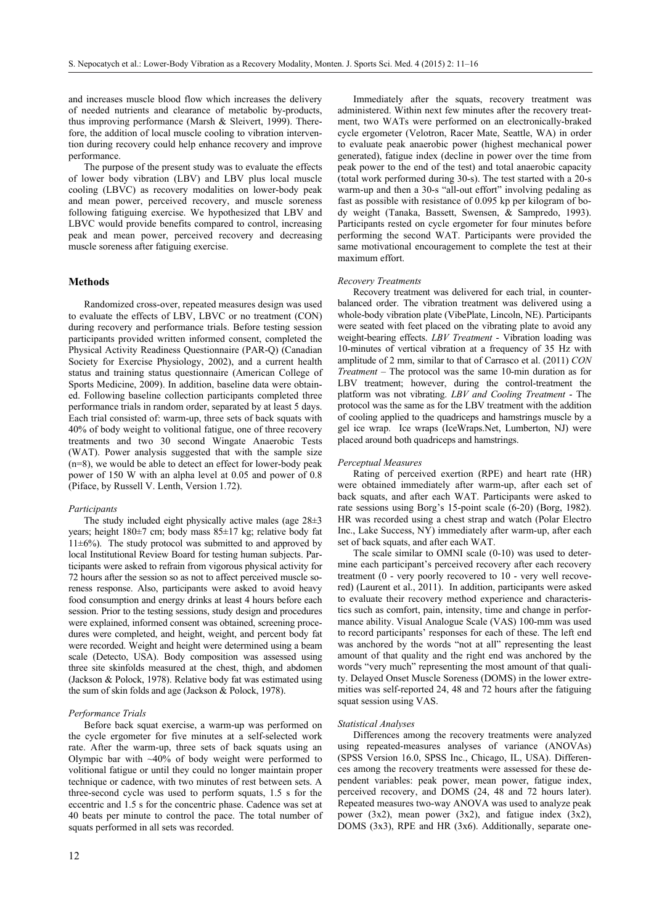and increases muscle blood flow which increases the delivery of needed nutrients and clearance of metabolic by-products, thus improving performance (Marsh & Sleivert, 1999). Therefore, the addition of local muscle cooling to vibration intervention during recovery could help enhance recovery and improve performance.

The purpose of the present study was to evaluate the effects of lower body vibration (LBV) and LBV plus local muscle cooling (LBVC) as recovery modalities on lower-body peak and mean power, perceived recovery, and muscle soreness following fatiguing exercise. We hypothesized that LBV and LBVC would provide benefits compared to control, increasing peak and mean power, perceived recovery and decreasing muscle soreness after fatiguing exercise.

## **Methods**

Randomized cross-over, repeated measures design was used to evaluate the effects of LBV, LBVC or no treatment (CON) during recovery and performance trials. Before testing session participants provided written informed consent, completed the Physical Activity Readiness Questionnaire (PAR-Q) (Canadian Society for Exercise Physiology, 2002), and a current health status and training status questionnaire (American College of Sports Medicine, 2009). In addition, baseline data were obtained. Following baseline collection participants completed three performance trials in random order, separated by at least 5 days. Each trial consisted of: warm-up, three sets of back squats with 40% of body weight to volitional fatigue, one of three recovery treatments and two 30 second Wingate Anaerobic Tests (WAT). Power analysis suggested that with the sample size (n=8), we would be able to detect an effect for lower-body peak power of 150 W with an alpha level at 0.05 and power of 0.8 (Piface, by Russell V. Lenth, Version 1.72).

#### *Participants*

The study included eight physically active males (age 28±3 years; height 180±7 cm; body mass 85±17 kg; relative body fat  $11\pm6\%$ ). The study protocol was submitted to and approved by local Institutional Review Board for testing human subjects. Participants were asked to refrain from vigorous physical activity for 72 hours after the session so as not to affect perceived muscle soreness response. Also, participants were asked to avoid heavy food consumption and energy drinks at least 4 hours before each session. Prior to the testing sessions, study design and procedures were explained, informed consent was obtained, screening procedures were completed, and height, weight, and percent body fat were recorded. Weight and height were determined using a beam scale (Detecto, USA). Body composition was assessed using three site skinfolds measured at the chest, thigh, and abdomen (Jackson & Polock, 1978). Relative body fat was estimated using the sum of skin folds and age (Jackson & Polock, 1978).

#### *Performance Trials*

Before back squat exercise, a warm-up was performed on the cycle ergometer for five minutes at a self-selected work rate. After the warm-up, three sets of back squats using an Olympic bar with ~40% of body weight were performed to volitional fatigue or until they could no longer maintain proper technique or cadence, with two minutes of rest between sets. A three-second cycle was used to perform squats, 1.5 s for the eccentric and 1.5 s for the concentric phase. Cadence was set at 40 beats per minute to control the pace. The total number of squats performed in all sets was recorded.

Immediately after the squats, recovery treatment was administered. Within next few minutes after the recovery treatment, two WATs were performed on an electronically-braked cycle ergometer (Velotron, Racer Mate, Seattle, WA) in order to evaluate peak anaerobic power (highest mechanical power generated), fatigue index (decline in power over the time from peak power to the end of the test) and total anaerobic capacity (total work performed during 30-s). The test started with a 20-s warm-up and then a 30-s "all-out effort" involving pedaling as fast as possible with resistance of 0.095 kp per kilogram of body weight (Tanaka, Bassett, Swensen, & Sampredo, 1993). Participants rested on cycle ergometer for four minutes before performing the second WAT. Participants were provided the same motivational encouragement to complete the test at their maximum effort.

# *Recovery Treatments*

Recovery treatment was delivered for each trial, in counterbalanced order. The vibration treatment was delivered using a whole-body vibration plate (VibePlate, Lincoln, NE). Participants were seated with feet placed on the vibrating plate to avoid any weight-bearing effects. *LBV Treatment* - Vibration loading was 10-minutes of vertical vibration at a frequency of 35 Hz with amplitude of 2 mm, similar to that of Carrasco et al. (2011) *CON Treatment* – The protocol was the same 10-min duration as for LBV treatment; however, during the control-treatment the platform was not vibrating. *LBV and Cooling Treatment* - The protocol was the same as for the LBV treatment with the addition of cooling applied to the quadriceps and hamstrings muscle by a gel ice wrap. Ice wraps (IceWraps.Net, Lumberton, NJ) were placed around both quadriceps and hamstrings.

#### *Perceptual Measures*

Rating of perceived exertion (RPE) and heart rate (HR) were obtained immediately after warm-up, after each set of back squats, and after each WAT. Participants were asked to rate sessions using Borg's 15-point scale (6-20) (Borg, 1982). HR was recorded using a chest strap and watch (Polar Electro Inc., Lake Success, NY) immediately after warm-up, after each set of back squats, and after each WAT.

The scale similar to OMNI scale (0-10) was used to determine each participant's perceived recovery after each recovery treatment (0 - very poorly recovered to 10 - very well recovered) (Laurent et al., 2011). In addition, participants were asked to evaluate their recovery method experience and characteristics such as comfort, pain, intensity, time and change in performance ability. Visual Analogue Scale (VAS) 100-mm was used to record participants' responses for each of these. The left end was anchored by the words "not at all" representing the least amount of that quality and the right end was anchored by the words "very much" representing the most amount of that quality. Delayed Onset Muscle Soreness (DOMS) in the lower extremities was self-reported 24, 48 and 72 hours after the fatiguing squat session using VAS.

#### *Statistical Analyses*

Differences among the recovery treatments were analyzed using repeated-measures analyses of variance (ANOVAs) (SPSS Version 16.0, SPSS Inc., Chicago, IL, USA). Differences among the recovery treatments were assessed for these dependent variables: peak power, mean power, fatigue index, perceived recovery, and DOMS (24, 48 and 72 hours later). Repeated measures two-way ANOVA was used to analyze peak power  $(3x2)$ , mean power  $(3x2)$ , and fatigue index  $(3x2)$ , DOMS (3x3), RPE and HR (3x6). Additionally, separate one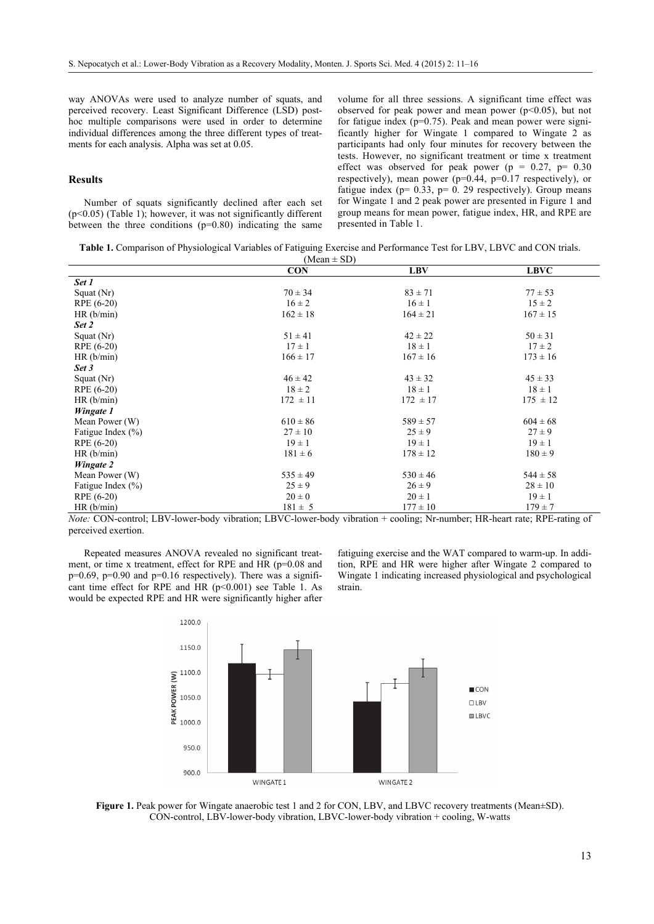way ANOVAs were used to analyze number of squats, and perceived recovery. Least Significant Difference (LSD) posthoc multiple comparisons were used in order to determine individual differences among the three different types of treatments for each analysis. Alpha was set at 0.05.

# **Results**

Number of squats significantly declined after each set (p<0.05) (Table 1); however, it was not significantly different between the three conditions  $(p=0.80)$  indicating the same volume for all three sessions. A significant time effect was observed for peak power and mean power ( $p<0.05$ ), but not for fatigue index ( $p=0.75$ ). Peak and mean power were significantly higher for Wingate 1 compared to Wingate 2 as participants had only four minutes for recovery between the tests. However, no significant treatment or time x treatment effect was observed for peak power ( $p = 0.27$ ,  $p = 0.30$ respectively), mean power (p=0.44, p=0.17 respectively), or fatigue index ( $p= 0.33$ ,  $p= 0.29$  respectively). Group means for Wingate 1 and 2 peak power are presented in Figure 1 and group means for mean power, fatigue index, HR, and RPE are presented in Table 1.

|                          | Table 1. Comparison of Physiological Variables of Fatiguing Exercise and Performance Test for LBV, LBVC and CON trials. |
|--------------------------|-------------------------------------------------------------------------------------------------------------------------|
| $(M_{\rm con} + \rm CD)$ |                                                                                                                         |

| $($ Wigali = $5D$     |              |              |              |
|-----------------------|--------------|--------------|--------------|
|                       | <b>CON</b>   | <b>LBV</b>   | <b>LBVC</b>  |
| Set 1                 |              |              |              |
| Squat $(Nr)$          | $70 \pm 34$  | $83 \pm 71$  | $77 \pm 53$  |
| RPE (6-20)            | $16 \pm 2$   | $16 \pm 1$   | $15 \pm 2$   |
| HR(b/min)             | $162 \pm 18$ | $164 \pm 21$ | $167 \pm 15$ |
| Set 2                 |              |              |              |
| Squat $(Nr)$          | $51 \pm 41$  | $42 \pm 22$  | $50 \pm 31$  |
| RPE (6-20)            | $17 \pm 1$   | $18 \pm 1$   | $17 \pm 2$   |
| HR(b/min)             | $166 \pm 17$ | $167 \pm 16$ | $173 \pm 16$ |
| Set 3                 |              |              |              |
| Squat $(Nr)$          | $46 \pm 42$  | $43 \pm 32$  | $45 \pm 33$  |
| RPE (6-20)            | $18 \pm 2$   | $18 \pm 1$   | $18 \pm 1$   |
| HR (b/min)            | $172 \pm 11$ | $172 \pm 17$ | $175 \pm 12$ |
| Wingate 1             |              |              |              |
| Mean Power (W)        | $610 \pm 86$ | $589 \pm 57$ | $604 \pm 68$ |
| Fatigue Index $(\% )$ | $27 \pm 10$  | $25 \pm 9$   | $27 \pm 9$   |
| RPE (6-20)            | $19 \pm 1$   | $19 \pm 1$   | $19 \pm 1$   |
| HR(b/min)             | $181 \pm 6$  | $178 \pm 12$ | $180 \pm 9$  |
| Wingate 2             |              |              |              |
| Mean Power (W)        | $535 \pm 49$ | $530 \pm 46$ | $544 \pm 58$ |
| Fatigue Index $(\% )$ | $25 \pm 9$   | $26 \pm 9$   | $28 \pm 10$  |
| RPE (6-20)            | $20 \pm 0$   | $20 \pm 1$   | $19 \pm 1$   |
| HR (b/min)            | $181 \pm 5$  | $177 \pm 10$ | $179 \pm 7$  |

*Note:* CON-control; LBV-lower-body vibration; LBVC-lower-body vibration + cooling; Nr-number; HR-heart rate; RPE-rating of perceived exertion.

Repeated measures ANOVA revealed no significant treatment, or time x treatment, effect for RPE and HR (p=0.08 and p=0.69, p=0.90 and p=0.16 respectively). There was a significant time effect for RPE and HR  $(p<0.001)$  see Table 1. As would be expected RPE and HR were significantly higher after

fatiguing exercise and the WAT compared to warm-up. In addition, RPE and HR were higher after Wingate 2 compared to Wingate 1 indicating increased physiological and psychological strain.



**Figure 1.** Peak power for Wingate anaerobic test 1 and 2 for CON, LBV, and LBVC recovery treatments (Mean±SD). CON-control, LBV-lower-body vibration, LBVC-lower-body vibration + cooling, W-watts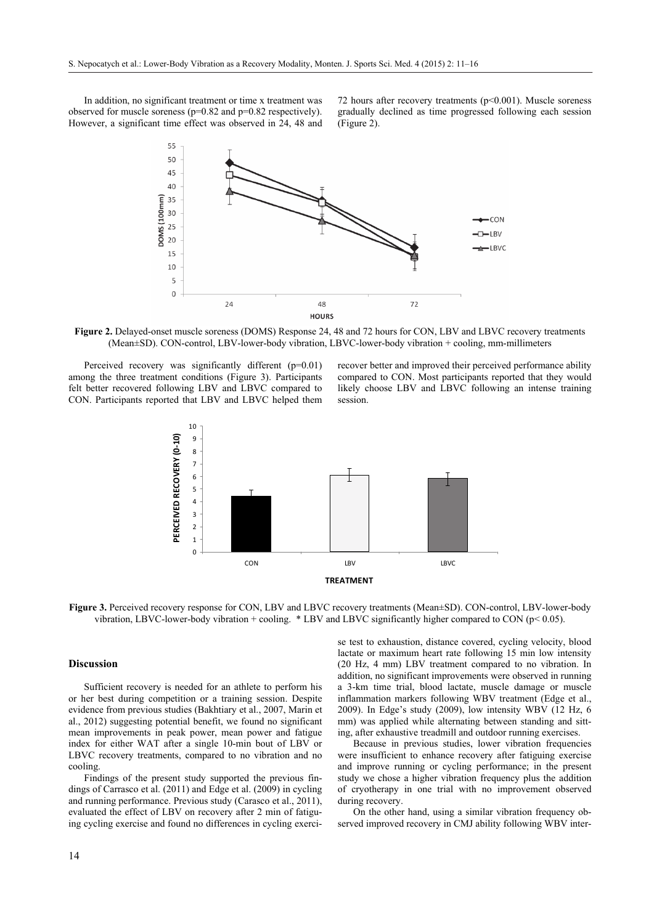In addition, no significant treatment or time x treatment was observed for muscle soreness (p=0.82 and p=0.82 respectively). However, a significant time effect was observed in 24, 48 and 72 hours after recovery treatments  $(p<0.001)$ . Muscle soreness gradually declined as time progressed following each session (Figure 2).



**Figure 2.** Delayed-onset muscle soreness (DOMS) Response 24, 48 and 72 hours for CON, LBV and LBVC recovery treatments (Mean±SD). CON-control, LBV-lower-body vibration, LBVC-lower-body vibration + cooling, mm-millimeters

Perceived recovery was significantly different (p=0.01) among the three treatment conditions (Figure 3). Participants felt better recovered following LBV and LBVC compared to CON. Participants reported that LBV and LBVC helped them recover better and improved their perceived performance ability compared to CON. Most participants reported that they would likely choose LBV and LBVC following an intense training session.



**Figure 3.** Perceived recovery response for CON, LBV and LBVC recovery treatments (Mean±SD). CON-control, LBV-lower-body vibration, LBVC-lower-body vibration + cooling. \* LBV and LBVC significantly higher compared to CON (p< 0.05).

## **Discussion**

Sufficient recovery is needed for an athlete to perform his or her best during competition or a training session. Despite evidence from previous studies (Bakhtiary et al., 2007, Marin et al., 2012) suggesting potential benefit, we found no significant mean improvements in peak power, mean power and fatigue index for either WAT after a single 10-min bout of LBV or LBVC recovery treatments, compared to no vibration and no cooling.

Findings of the present study supported the previous findings of Carrasco et al. (2011) and Edge et al. (2009) in cycling and running performance. Previous study (Carasco et al., 2011), evaluated the effect of LBV on recovery after 2 min of fatiguing cycling exercise and found no differences in cycling exercise test to exhaustion, distance covered, cycling velocity, blood lactate or maximum heart rate following 15 min low intensity (20 Hz, 4 mm) LBV treatment compared to no vibration. In addition, no significant improvements were observed in running a 3-km time trial, blood lactate, muscle damage or muscle inflammation markers following WBV treatment (Edge et al., 2009). In Edge's study (2009), low intensity WBV (12 Hz, 6 mm) was applied while alternating between standing and sitting, after exhaustive treadmill and outdoor running exercises.

Because in previous studies, lower vibration frequencies were insufficient to enhance recovery after fatiguing exercise and improve running or cycling performance; in the present study we chose a higher vibration frequency plus the addition of cryotherapy in one trial with no improvement observed during recovery.

On the other hand, using a similar vibration frequency observed improved recovery in CMJ ability following WBV inter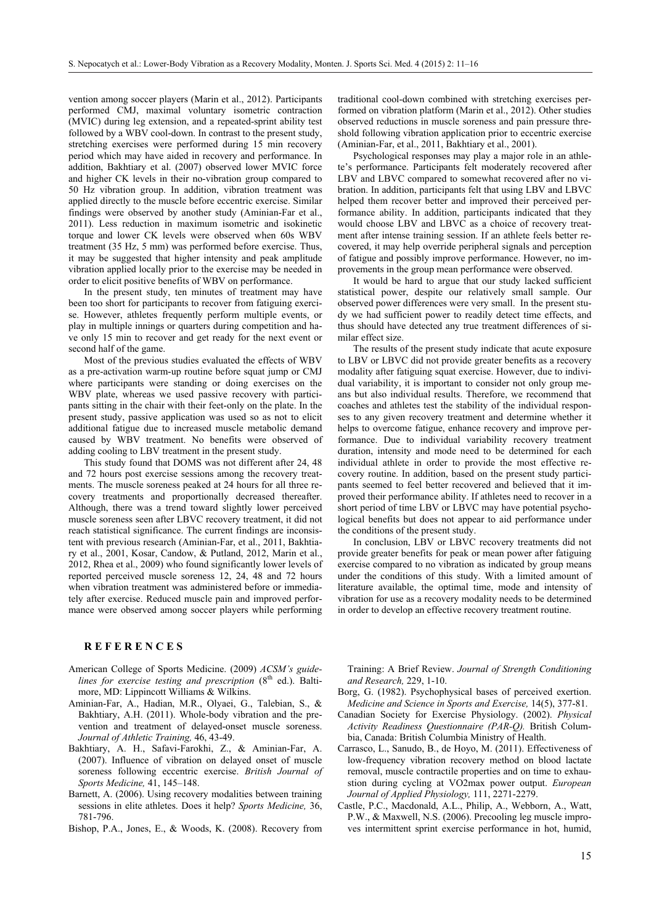vention among soccer players (Marin et al., 2012). Participants performed CMJ, maximal voluntary isometric contraction (MVIC) during leg extension, and a repeated-sprint ability test followed by a WBV cool-down. In contrast to the present study, stretching exercises were performed during 15 min recovery period which may have aided in recovery and performance. In addition, Bakhtiary et al. (2007) observed lower MVIC force and higher CK levels in their no-vibration group compared to 50 Hz vibration group. In addition, vibration treatment was applied directly to the muscle before eccentric exercise. Similar findings were observed by another study (Aminian-Far et al., 2011). Less reduction in maximum isometric and isokinetic torque and lower CK levels were observed when 60s WBV treatment (35 Hz, 5 mm) was performed before exercise. Thus, it may be suggested that higher intensity and peak amplitude vibration applied locally prior to the exercise may be needed in order to elicit positive benefits of WBV on performance.

In the present study, ten minutes of treatment may have been too short for participants to recover from fatiguing exercise. However, athletes frequently perform multiple events, or play in multiple innings or quarters during competition and have only 15 min to recover and get ready for the next event or second half of the game.

Most of the previous studies evaluated the effects of WBV as a pre-activation warm-up routine before squat jump or CMJ where participants were standing or doing exercises on the WBV plate, whereas we used passive recovery with participants sitting in the chair with their feet-only on the plate. In the present study, passive application was used so as not to elicit additional fatigue due to increased muscle metabolic demand caused by WBV treatment. No benefits were observed of adding cooling to LBV treatment in the present study.

This study found that DOMS was not different after 24, 48 and 72 hours post exercise sessions among the recovery treatments. The muscle soreness peaked at 24 hours for all three recovery treatments and proportionally decreased thereafter. Although, there was a trend toward slightly lower perceived muscle soreness seen after LBVC recovery treatment, it did not reach statistical significance. The current findings are inconsistent with previous research (Aminian-Far, et al., 2011, Bakhtiary et al., 2001, Kosar, Candow, & Putland, 2012, Marin et al., 2012, Rhea et al., 2009) who found significantly lower levels of reported perceived muscle soreness 12, 24, 48 and 72 hours when vibration treatment was administered before or immediately after exercise. Reduced muscle pain and improved performance were observed among soccer players while performing

## **R E F E R E N C E S**

- American College of Sports Medicine. (2009) *ACSM's guidelines for exercise testing and prescription* (8<sup>th</sup> ed.). Baltimore, MD: Lippincott Williams & Wilkins.
- Aminian-Far, A., Hadian, M.R., Olyaei, G., Talebian, S., & Bakhtiary, A.H. (2011). Whole-body vibration and the prevention and treatment of delayed-onset muscle soreness. *Journal of Athletic Training,* 46, 43-49.
- Bakhtiary, A. H., Safavi-Farokhi, Z., & Aminian-Far, A. (2007). Influence of vibration on delayed onset of muscle soreness following eccentric exercise. *British Journal of Sports Medicine,* 41, 145–148.
- Barnett, A. (2006). Using recovery modalities between training sessions in elite athletes. Does it help? *Sports Medicine,* 36, 781-796.
- Bishop, P.A., Jones, E., & Woods, K. (2008). Recovery from

traditional cool-down combined with stretching exercises performed on vibration platform (Marin et al., 2012). Other studies observed reductions in muscle soreness and pain pressure threshold following vibration application prior to eccentric exercise (Aminian-Far, et al., 2011, Bakhtiary et al., 2001).

Psychological responses may play a major role in an athlete's performance. Participants felt moderately recovered after LBV and LBVC compared to somewhat recovered after no vibration. In addition, participants felt that using LBV and LBVC helped them recover better and improved their perceived performance ability. In addition, participants indicated that they would choose LBV and LBVC as a choice of recovery treatment after intense training session. If an athlete feels better recovered, it may help override peripheral signals and perception of fatigue and possibly improve performance. However, no improvements in the group mean performance were observed.

It would be hard to argue that our study lacked sufficient statistical power, despite our relatively small sample. Our observed power differences were very small. In the present study we had sufficient power to readily detect time effects, and thus should have detected any true treatment differences of similar effect size.

The results of the present study indicate that acute exposure to LBV or LBVC did not provide greater benefits as a recovery modality after fatiguing squat exercise. However, due to individual variability, it is important to consider not only group means but also individual results. Therefore, we recommend that coaches and athletes test the stability of the individual responses to any given recovery treatment and determine whether it helps to overcome fatigue, enhance recovery and improve performance. Due to individual variability recovery treatment duration, intensity and mode need to be determined for each individual athlete in order to provide the most effective recovery routine. In addition, based on the present study participants seemed to feel better recovered and believed that it improved their performance ability. If athletes need to recover in a short period of time LBV or LBVC may have potential psychological benefits but does not appear to aid performance under the conditions of the present study.

In conclusion, LBV or LBVC recovery treatments did not provide greater benefits for peak or mean power after fatiguing exercise compared to no vibration as indicated by group means under the conditions of this study. With a limited amount of literature available, the optimal time, mode and intensity of vibration for use as a recovery modality needs to be determined in order to develop an effective recovery treatment routine.

Training: A Brief Review. *Journal of Strength Conditioning and Research,* 229, 1-10.

- Borg, G. (1982). Psychophysical bases of perceived exertion. *Medicine and Science in Sports and Exercise,* 14(5), 377-81.
- Canadian Society for Exercise Physiology. (2002). *Physical Activity Readiness Questionnaire (PAR-Q).* British Columbia, Canada: British Columbia Ministry of Health.
- Carrasco, L., Sanudo, B., de Hoyo, M. (2011). Effectiveness of low-frequency vibration recovery method on blood lactate removal, muscle contractile properties and on time to exhaustion during cycling at VO2max power output. *European Journal of Applied Physiology,* 111, 2271-2279.
- Castle, P.C., Macdonald, A.L., Philip, A., Webborn, A., Watt, P.W., & Maxwell, N.S. (2006). Precooling leg muscle improves intermittent sprint exercise performance in hot, humid,